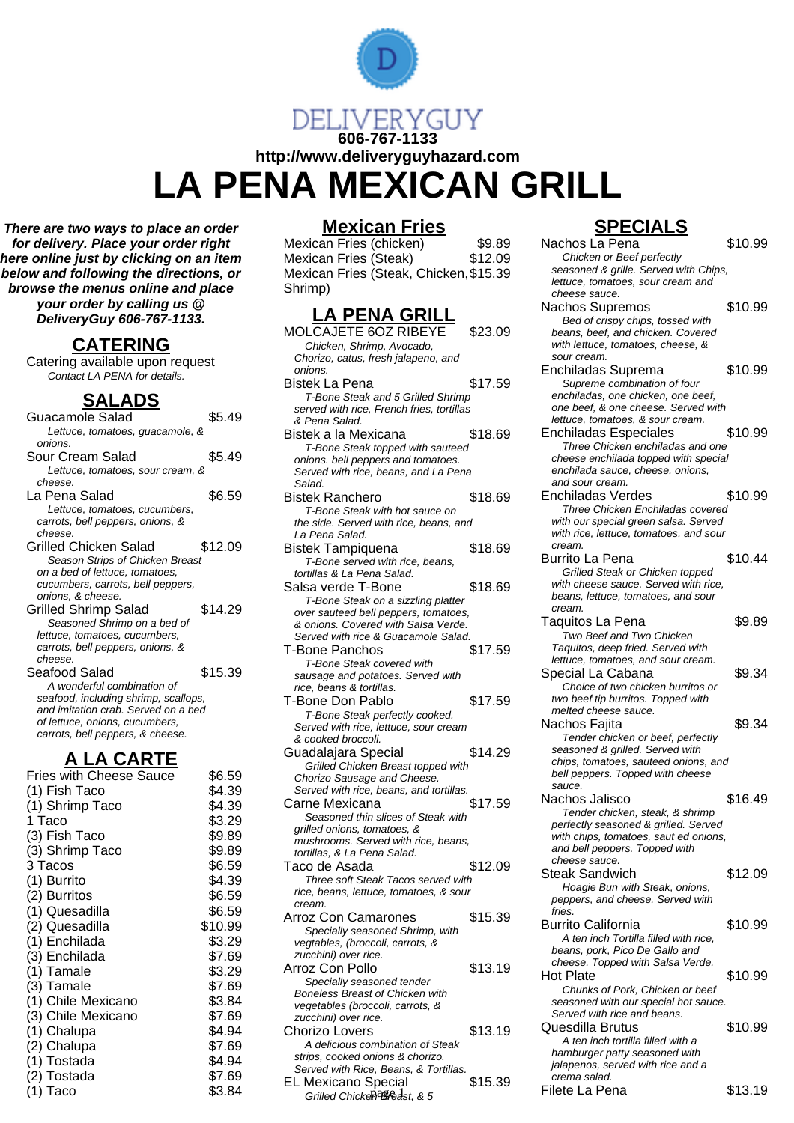

**There are two ways to place an order for delivery. Place your order right here online just by clicking on an item below and following the directions, or browse the menus online and place your order by calling us @ DeliveryGuy 606-767-1133.**

#### **CATERING**

Catering available upon request Contact LA PENA for details.

## **SALADS**

| Guacamole Salad                                                     | \$5.49  |
|---------------------------------------------------------------------|---------|
| Lettuce, tomatoes, guacamole, &                                     |         |
| onions.                                                             |         |
| Sour Cream Salad                                                    | \$5.49  |
| Lettuce, tomatoes, sour cream, &                                    |         |
| cheese.                                                             |         |
| La Pena Salad                                                       | \$6.59  |
| Lettuce, tomatoes, cucumbers,                                       |         |
| carrots, bell peppers, onions, &                                    |         |
| cheese.                                                             |         |
| Grilled Chicken Salad                                               | \$12.09 |
| Season Strips of Chicken Breast                                     |         |
| on a bed of lettuce, tomatoes,<br>cucumbers, carrots, bell peppers, |         |
| onions, & cheese.                                                   |         |
| <b>Grilled Shrimp Salad</b>                                         | \$14.29 |
| Seasoned Shrimp on a bed of                                         |         |
| lettuce, tomatoes, cucumbers,                                       |         |
| carrots, bell peppers, onions, &                                    |         |
| cheese.                                                             |         |
| Seafood Salad                                                       | \$15.39 |
| A wonderful combination of                                          |         |
| seafood, including shrimp, scallops,                                |         |
| and imitation crab. Served on a bed                                 |         |
| of lettuce, onions, cucumbers,                                      |         |
| carrots, bell peppers, & cheese.                                    |         |
| <u>A LA CARTE</u>                                                   |         |
| Fries with Cheese Sauce                                             | \$6.59  |
|                                                                     |         |
| (1) Fish Taco                                                       | \$4.39  |
| (1) Shrimp Taco                                                     | \$4.39  |
| 1 Taco                                                              | \$3.29  |
| (3) Fish Taco                                                       | \$9.89  |

(3) Shrimp Taco \$9.89 3 Tacos \$6.59 (1) Burrito \$4.39<br>(2) Burritos \$6.59 (2) Burritos (2) \$6.59<br>(1) Quesadilla (36.59) (1) Quesadilla (1) \$6.59<br>(2) Quesadilla (2) \$10.99 (2) Quesadilla  $$10.99$ <br>(1) Enchilada  $$3.29$ (1) Enchilada \$3.29<br>(3) Enchilada \$7.69 (3) Enchilada \$7.69<br>(1) Tamale \$3.29 (1) Tamale \$3.29<br>(3) Tamale \$7.69  $(3)$  Tamale  $$7.69$ <br> $(1)$  Chile Mexicano  $$3.84$ (1) Chile Mexicano  $$3.84$ <br>(3) Chile Mexicano  $$7.69$  $(3)$  Chile Mexicano  $$7.69$ <br> $(1)$  Chalupa  $$4.94$  $(1)$  Chalupa  $$4.94$ <br>  $(2)$  Chalupa  $$7.69$ (2) Chalupa (2) Strategies (3) Strategies (3) Strategies (3) Strategies (3) Strategies (3) Strategies (3) Stra<br>
\$4.94 (1) Tostada (2) Tostada (2) Tostada (2) Tostada (2) Tostada (2) ST.69 (2) Tostada (2) ST.69 (2) Tostada (2) ST.69 (2) Tostada (2) ST.69 (2) Tostada (2) ST.69 (2) Tostada (2) ST.69 (2) Tostada (2) ST.69 (2) Tostada (2) ST.6

 $(1)$  Taco  $\$3.84$ 

 $(2)$  Tostada

### **Mexican Fries**

Mexican Fries (chicken) \$9.89<br>Mexican Fries (Steak) \$12.09 Mexican Fries (Steak) Mexican Fries (Steak, Chicken, \$15.39 Shrimp)

# **LA PENA GRILL**

| . .<br>. .<br>.<br>MOLCAJETE 6OZ RIBEYE                                    | \$23.09 |
|----------------------------------------------------------------------------|---------|
| Chicken, Shrimp, Avocado,                                                  |         |
| Chorizo, catus, fresh jalapeno, and<br>onions.                             |         |
| Bistek La Pena                                                             | \$17.59 |
| T-Bone Steak and 5 Grilled Shrimp                                          |         |
| served with rice, French fries, tortillas                                  |         |
| & Pena Salad.                                                              |         |
| Bistek a la Mexicana                                                       | \$18.69 |
| T-Bone Steak topped with sauteed<br>onions. bell peppers and tomatoes.     |         |
| Served with rice, beans, and La Pena                                       |         |
| Salad.                                                                     |         |
| Bistek Ranchero                                                            | \$18.69 |
| T-Bone Steak with hot sauce on                                             |         |
| the side. Served with rice, beans, and<br>La Pena Salad.                   |         |
| Bistek Tampiquena                                                          | \$18.69 |
| T-Bone served with rice, beans,                                            |         |
| tortillas & La Pena Salad.                                                 |         |
| Salsa verde T-Bone                                                         | \$18.69 |
| T-Bone Steak on a sizzling platter                                         |         |
| over sauteed bell peppers, tomatoes,                                       |         |
| & onions. Covered with Salsa Verde.<br>Served with rice & Guacamole Salad. |         |
| T-Bone Panchos                                                             | \$17.59 |
| T-Bone Steak covered with                                                  |         |
| sausage and potatoes. Served with                                          |         |
| rice, beans & tortillas.                                                   |         |
| T-Bone Don Pablo                                                           | \$17.59 |
| T-Bone Steak perfectly cooked.<br>Served with rice, lettuce, sour cream    |         |
| & cooked broccoli.                                                         |         |
| Guadalajara Special                                                        | \$14.29 |
| Grilled Chicken Breast topped with                                         |         |
| Chorizo Sausage and Cheese.                                                |         |
| Served with rice, beans, and tortillas.                                    |         |
| Carne Mexicana                                                             | \$17.59 |
| Seasoned thin slices of Steak with<br>grilled onions, tomatoes, &          |         |
| mushrooms. Served with rice, beans,                                        |         |
| tortillas, & La Pena Salad.                                                |         |
| Taco de Asada                                                              | \$12.09 |
| Three soft Steak Tacos served with                                         |         |
| rice, beans, lettuce, tomatoes, & sour<br>cream.                           |         |
| <b>Arroz Con Camarones</b>                                                 | \$15.39 |
| Specially seasoned Shrimp, with                                            |         |
| vegtables, (broccoli, carrots, &                                           |         |
| zucchini) over rice.                                                       |         |
| Arroz Con Pollo                                                            | \$13.19 |
| Specially seasoned tender<br>Boneless Breast of Chicken with               |         |
| vegetables (broccoli, carrots, &                                           |         |
| zucchini) over rice.                                                       |         |
| Chorizo Lovers                                                             | \$13.19 |
| A delicious combination of Steak                                           |         |
| strips, cooked onions & chorizo.<br>Served with Rice, Beans, & Tortillas.  |         |
|                                                                            |         |
| <b>EL Mexicano Special</b>                                                 | \$15.39 |

# **SPECIALS**

| <u>an Lite</u>           |         | UI<br>LVIALV                           |         |
|--------------------------|---------|----------------------------------------|---------|
| (chicken)                | \$9.89  | Nachos La Pena                         | \$10.99 |
| (Steak)                  | \$12.09 | Chicken or Beef perfectly              |         |
| (Steak, Chicken, \$15.39 |         | seasoned & grille. Served with Chips,  |         |
|                          |         | lettuce, tomatoes, sour cream and      |         |
|                          |         | cheese sauce.                          |         |
|                          |         | Nachos Supremos                        | \$10.99 |
| NA GRILL                 |         | Bed of crispy chips, tossed with       |         |
| 6OZ RIBEYE               | \$23.09 | beans, beef, and chicken. Covered      |         |
| mp, Avocado,             |         | with lettuce, tomatoes, cheese, &      |         |
| fresh jalapeno, and      |         | sour cream.                            |         |
|                          |         | Enchiladas Suprema                     | \$10.99 |
|                          | \$17.59 | Supreme combination of four            |         |
| and 5 Grilled Shrimp     |         | enchiladas, one chicken, one beef,     |         |
| French fries, tortillas  |         | one beef, & one cheese. Served with    |         |
|                          |         | lettuce, tomatoes, & sour cream.       |         |
| kıcana                   | \$18.69 | <b>Enchiladas Especiales</b>           | \$10.99 |
| topped with sauteed      |         | Three Chicken enchiladas and one       |         |
| pers and tomatoes.       |         | cheese enchilada topped with special   |         |
| , beans, and La Pena     |         | enchilada sauce, cheese, onions,       |         |
|                          |         | and sour cream.                        |         |
| ro                       | \$18.69 | Enchiladas Verdes                      | \$10.99 |
| with hot sauce on        |         | Three Chicken Enchiladas covered       |         |
| l with rice, beans, and  |         | with our special green salsa. Served   |         |
|                          |         | with rice, lettuce, tomatoes, and sour |         |
| uena                     | \$18.69 | cream.                                 |         |
| d with rice, beans,      |         | Burrito La Pena                        | \$10.44 |
| na Salad.                |         | Grilled Steak or Chicken topped        |         |
| Bone                     | \$18.69 | with cheese sauce. Served with rice,   |         |
| on a sizzling platter    |         | beans, lettuce, tomatoes, and sour     |         |
| Il peppers, tomatoes,    |         | cream.                                 |         |
| ed with Salsa Verde.     |         | Taquitos La Pena                       | \$9.89  |
| & Guacamole Salad.       |         | Two Beef and Two Chicken               |         |
| os                       | \$17.59 | Taquitos, deep fried. Served with      |         |
| covered with             |         | lettuce, tomatoes, and sour cream.     |         |
| tatoes. Served with      |         | Special La Cabana                      | \$9.34  |
| rtillas.                 |         | Choice of two chicken burritos or      |         |
| ablo                     | \$17.59 | two beef tip burritos. Topped with     |         |
| perfectly cooked.        |         | melted cheese sauce.                   |         |
| , lettuce, sour cream    |         | Nachos Fajita                          | \$9.34  |
| ɔli.                     |         | Tender chicken or beef, perfectly      |         |
| pecial                   | \$14.29 | seasoned & grilled. Served with        |         |
| n Breast topped with     |         | chips, tomatoes, sauteed onions, and   |         |
| e and Cheese.            |         | bell peppers. Topped with cheese       |         |
| , beans, and tortillas.  |         | sauce.                                 |         |
| ۱a                       | \$17.59 | Nachos Jalisco                         | \$16.49 |
| า slices of Steak with   |         | Tender chicken, steak, & shrimp        |         |
| ›matoes, &               |         | perfectly seasoned & grilled. Served   |         |
| rved with rice, beans,   |         | with chips, tomatoes, saut ed onions,  |         |
| ena Salad.               |         | and bell peppers. Topped with          |         |
| ł.                       | \$12.09 | cheese sauce.                          |         |
| ak Tacos served with     |         | <b>Steak Sandwich</b>                  | \$12.09 |
| ice, tomatoes, & sour    |         | Hoagie Bun with Steak, onions,         |         |
|                          |         | peppers, and cheese. Served with       |         |
| narones                  | \$15.39 | fries.                                 |         |
| soned Shrimp, with       |         | <b>Burrito California</b>              | \$10.99 |
| coli, carrots, &         |         | A ten inch Tortilla filled with rice.  |         |
| ce.                      |         | beans, pork, Pico De Gallo and         |         |
| o                        | \$13.19 | cheese. Topped with Salsa Verde.       |         |
| soned tender             |         | <b>Hot Plate</b>                       | \$10.99 |
| t of Chicken with        |         | Chunks of Pork, Chicken or beef        |         |
| ccoli, carrots, &        |         | seasoned with our special hot sauce.   |         |
| ce.                      |         | Served with rice and beans.            |         |
|                          | \$13.19 | Quesdilla Brutus                       | \$10.99 |
| mbination of Steak       |         | A ten inch tortilla filled with a      |         |
| nions & chorizo.         |         | hamburger patty seasoned with          |         |
| e, Beans, & Tortillas.   |         | jalapenos, served with rice and a      |         |
| }pecial                  | \$15.39 | crema salad.                           |         |
| ipagredst. & 5           |         | Filete La Pena                         | \$13.19 |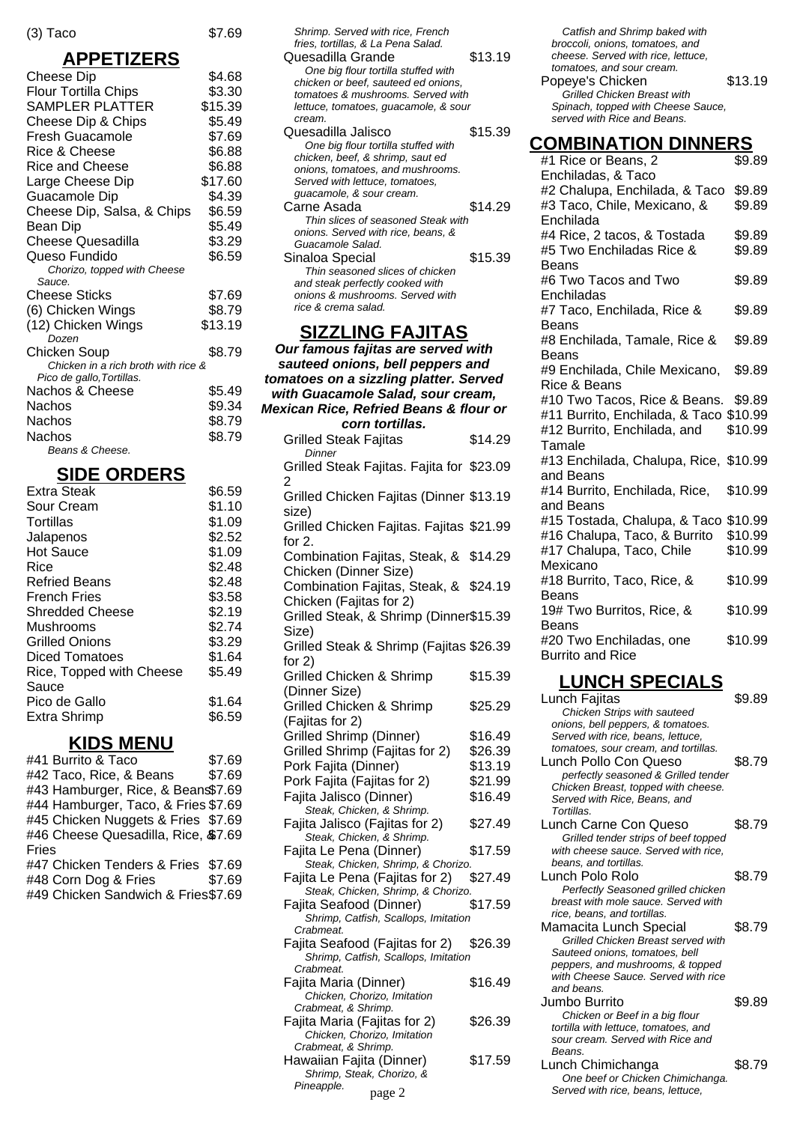#### **APPETIZERS**

 $$7.69$ 

| <u>- – </u>                                  |         |
|----------------------------------------------|---------|
| Cheese Dip                                   | \$4.68  |
| <b>Flour Tortilla Chips</b>                  | \$3.30  |
| SAMPLER PLATTER                              | \$15.39 |
| Cheese Dip & Chips                           | \$5.49  |
| Fresh Guacamole                              | \$7.69  |
| <b>Rice &amp; Cheese</b>                     | \$6.88  |
| <b>Rice and Cheese</b>                       | \$6.88  |
| Large Cheese Dip                             | \$17.60 |
| Guacamole Dip                                | \$4.39  |
| Cheese Dip, Salsa, & Chips                   | \$6.59  |
| Bean Dip                                     | \$5.49  |
| <b>Cheese Quesadilla</b>                     | \$3.29  |
| Queso Fundido                                | \$6.59  |
| Chorizo, topped with Cheese                  |         |
| Sauce.                                       |         |
| <b>Cheese Sticks</b>                         | \$7.69  |
| (6) Chicken Wings                            | \$8.79  |
| (12) Chicken Wings                           | \$13.19 |
| Dozen                                        |         |
| Chicken Soup                                 | \$8.79  |
| Chicken in a rich broth with rice &          |         |
| Pico de gallo, Tortillas.<br>Nachos & Cheese | \$5.49  |
| Nachos                                       |         |
|                                              | \$9.34  |
| Nachos                                       | \$8.79  |
| Nachos<br>Beans & Cheese.                    | \$8.79  |
|                                              |         |

## **SIDE ORDERS**

| Extra Steak              | \$6.59 |
|--------------------------|--------|
| Sour Cream               | \$1.10 |
| Tortillas                | \$1.09 |
| Jalapenos                | \$2.52 |
| <b>Hot Sauce</b>         | \$1.09 |
| Rice                     | \$2.48 |
| <b>Refried Beans</b>     | \$2.48 |
| <b>French Fries</b>      | \$3.58 |
| Shredded Cheese          | \$2.19 |
| Mushrooms                | \$2.74 |
| Grilled Onions           | \$3.29 |
| Diced Tomatoes           | \$1.64 |
| Rice, Topped with Cheese | \$5.49 |
| Sauce                    |        |
| Pico de Gallo            | \$1.64 |
| Extra Shrimp             | \$6.59 |
|                          |        |

# **KIDS MENU**

| #41 Burrito & Taco                  | \$7.69 |
|-------------------------------------|--------|
| #42 Taco, Rice, & Beans             | \$7.69 |
| #43 Hamburger, Rice, & Bean\$7.69   |        |
| #44 Hamburger, Taco, & Fries \$7.69 |        |
| #45 Chicken Nuggets & Fries \$7.69  |        |
| #46 Cheese Quesadilla, Rice, \$7.69 |        |
| Fries                               |        |
| #47 Chicken Tenders & Fries \$7.69  |        |
| #48 Corn Dog & Fries                | \$7.69 |
| #49 Chicken Sandwich & Fries\$7.69  |        |
|                                     |        |

| Shrimp. Served with rice, French<br>fries, tortillas, & La Pena Salad.<br>Quesadilla Grande<br>One big flour tortilla stuffed with<br>chicken or beef, sauteed ed onions,<br>tomatoes & mushrooms. Served with<br>lettuce, tomatoes, guacamole, & sour | \$13.19 |
|--------------------------------------------------------------------------------------------------------------------------------------------------------------------------------------------------------------------------------------------------------|---------|
| cream.<br>Quesadilla Jalisco                                                                                                                                                                                                                           | \$15.39 |
| One big flour tortilla stuffed with                                                                                                                                                                                                                    |         |
| chicken, beef, & shrimp, saut ed                                                                                                                                                                                                                       |         |
| onions, tomatoes, and mushrooms.                                                                                                                                                                                                                       |         |
| Served with lettuce, tomatoes,                                                                                                                                                                                                                         |         |
| guacamole, & sour cream.                                                                                                                                                                                                                               |         |
| Carne Asada                                                                                                                                                                                                                                            | \$14.29 |
| Thin slices of seasoned Steak with                                                                                                                                                                                                                     |         |
| onions. Served with rice, beans, &                                                                                                                                                                                                                     |         |
| Guacamole Salad.                                                                                                                                                                                                                                       |         |
| Sinaloa Special                                                                                                                                                                                                                                        | \$15.39 |
| Thin seasoned slices of chicken                                                                                                                                                                                                                        |         |
| and steak perfectly cooked with                                                                                                                                                                                                                        |         |
| onions & mushrooms. Served with<br>rice & crema salad.                                                                                                                                                                                                 |         |
|                                                                                                                                                                                                                                                        |         |
|                                                                                                                                                                                                                                                        |         |

### **SIZZLING FAJITAS**

| <u> EEEINV I AVIIAV</u>                                                            |         |
|------------------------------------------------------------------------------------|---------|
| Our famous fajitas are served with                                                 |         |
| sauteed onions, bell peppers and                                                   |         |
| tomatoes on a sizzling platter. Served                                             |         |
| with Guacamole Salad, sour cream,                                                  |         |
| <b>Mexican Rice, Refried Beans &amp; flour or</b>                                  |         |
| corn tortillas.                                                                    |         |
| <b>Grilled Steak Fajitas</b><br>Dinner                                             | \$14.29 |
| Grilled Steak Fajitas. Fajita for \$23.09<br>2                                     |         |
| Grilled Chicken Fajitas (Dinner \$13.19<br>size)                                   |         |
| Grilled Chicken Fajitas. Fajitas \$21.99<br>for $2$ .                              |         |
| Combination Fajitas, Steak, &<br>Chicken (Dinner Size)                             | \$14.29 |
| Combination Fajitas, Steak, &<br>Chicken (Fajitas for 2)                           | \$24.19 |
| Grilled Steak, & Shrimp (Dinner\$15.39<br>Size)                                    |         |
| Grilled Steak & Shrimp (Fajitas \$26.39                                            |         |
| for $2)$<br><b>Grilled Chicken &amp; Shrimp</b>                                    | \$15.39 |
| (Dinner Size)<br>Grilled Chicken & Shrimp                                          | \$25.29 |
| (Fajitas for 2)<br><b>Grilled Shrimp (Dinner)</b>                                  | \$16.49 |
| Grilled Shrimp (Fajitas for 2)                                                     | \$26.39 |
| Pork Fajita (Dinner)                                                               | \$13.19 |
| Pork Fajita (Fajitas for 2)                                                        | \$21.99 |
| Fajita Jalisco (Dinner)                                                            | \$16.49 |
| Steak, Chicken, & Shrimp.                                                          |         |
| Fajita Jalisco (Fajitas for 2)<br>Steak, Chicken, & Shrimp.                        | \$27.49 |
| Fajita Le Pena (Dinner)                                                            | \$17.59 |
| Steak, Chicken, Shrimp, & Chorizo.                                                 |         |
| Fajita Le Pena (Fajitas for 2)<br>Steak, Chicken, Shrimp, & Chorizo.               | \$27.49 |
| Fajita Seafood (Dinner)                                                            | \$17.59 |
| Shrimp, Catfish, Scallops, Imitation<br>Crabmeat.                                  |         |
| Fajita Seafood (Fajitas for 2)<br>Shrimp, Catfish, Scallops, Imitation             | \$26.39 |
| Crabmeat.                                                                          |         |
| Fajita Maria (Dinner)<br>Chicken, Chorizo, Imitation                               | \$16.49 |
| Crabmeat, & Shrimp.<br>Fajita Maria (Fajitas for 2)<br>Chicken, Chorizo, Imitation | \$26.39 |
| Crabmeat, & Shrimp.<br>Hawaiian Fajita (Dinner)<br>Shrimp, Steak, Chorizo, &       | \$17.59 |
| Pineapple.<br>page 2                                                               |         |

| Catfish and Shrimp baked with<br>broccoli, onions, tomatoes, and<br>cheese. Served with rice, lettuce,<br>tomatoes, and sour cream.<br>Popeye's Chicken<br><b>Grilled Chicken Breast with</b><br>Spinach, topped with Cheese Sauce,<br>served with Rice and Beans. | \$13.19          |
|--------------------------------------------------------------------------------------------------------------------------------------------------------------------------------------------------------------------------------------------------------------------|------------------|
| <b>COMBINATION DINNERS</b>                                                                                                                                                                                                                                         |                  |
| #1 Rice or Beans, 2                                                                                                                                                                                                                                                | \$9.89           |
| Enchiladas, & Taco                                                                                                                                                                                                                                                 |                  |
| #2 Chalupa, Enchilada, & Taco<br>#3 Taco, Chile, Mexicano, &                                                                                                                                                                                                       | \$9.89<br>\$9.89 |
| Enchilada                                                                                                                                                                                                                                                          |                  |
| #4 Rice, 2 tacos, & Tostada                                                                                                                                                                                                                                        | \$9.89           |
| #5 Two Enchiladas Rice &                                                                                                                                                                                                                                           | \$9.89           |
| Beans                                                                                                                                                                                                                                                              |                  |
| #6 Two Tacos and Two                                                                                                                                                                                                                                               | \$9.89           |
| Enchiladas<br>#7 Taco, Enchilada, Rice &                                                                                                                                                                                                                           | \$9.89           |
| Beans                                                                                                                                                                                                                                                              |                  |
| #8 Enchilada, Tamale, Rice &                                                                                                                                                                                                                                       | \$9.89           |
| Beans                                                                                                                                                                                                                                                              |                  |
| #9 Enchilada, Chile Mexicano,                                                                                                                                                                                                                                      | \$9.89           |
| Rice & Beans<br>#10 Two Tacos, Rice & Beans. \$9.89                                                                                                                                                                                                                |                  |
| #11 Burrito, Enchilada, & Taco \$10.99                                                                                                                                                                                                                             |                  |
| #12 Burrito, Enchilada, and                                                                                                                                                                                                                                        | \$10.99          |
| Tamale                                                                                                                                                                                                                                                             |                  |
| #13 Enchilada, Chalupa, Rice, \$10.99                                                                                                                                                                                                                              |                  |
| and Beans                                                                                                                                                                                                                                                          |                  |
| #14 Burrito, Enchilada, Rice,                                                                                                                                                                                                                                      | \$10.99          |
| and Beans                                                                                                                                                                                                                                                          |                  |
| #15 Tostada, Chalupa, & Taco \$10.99                                                                                                                                                                                                                               | \$10.99          |
| #16 Chalupa, Taco, & Burrito                                                                                                                                                                                                                                       | \$10.99          |
| #17 Chalupa, Taco, Chile<br>Mexicano                                                                                                                                                                                                                               |                  |
| #18 Burrito, Taco, Rice, &                                                                                                                                                                                                                                         | \$10.99          |
| Beans                                                                                                                                                                                                                                                              |                  |
| 19# Two Burritos, Rice, &                                                                                                                                                                                                                                          | \$10.99          |
| Beans                                                                                                                                                                                                                                                              |                  |
| #20 Two Enchiladas, one                                                                                                                                                                                                                                            | \$10.99          |
| Burrito and Rice                                                                                                                                                                                                                                                   |                  |
| <b>LUNCH SPECIALS</b>                                                                                                                                                                                                                                              |                  |

| Lunch Fajitas                        | \$9.89 |
|--------------------------------------|--------|
| Chicken Strips with sauteed          |        |
| onions, bell peppers, & tomatoes.    |        |
| Served with rice, beans, lettuce,    |        |
| tomatoes, sour cream, and tortillas. |        |
| Lunch Pollo Con Queso                | \$8.79 |
| perfectly seasoned & Grilled tender  |        |
| Chicken Breast, topped with cheese.  |        |
| Served with Rice, Beans, and         |        |
| Tortillas.                           |        |
| Lunch Carne Con Queso                | \$8.79 |
| Grilled tender strips of beef topped |        |
| with cheese sauce. Served with rice. |        |
| beans, and tortillas.                |        |
| Lunch Polo Rolo                      | \$8.79 |
| Perfectly Seasoned grilled chicken   |        |
| breast with mole sauce. Served with  |        |
| rice, beans, and tortillas.          |        |
| Mamacita Lunch Special               | \$8.79 |
| Grilled Chicken Breast served with   |        |
| Sauteed onions, tomatoes, bell       |        |
| peppers, and mushrooms, & topped     |        |
| with Cheese Sauce. Served with rice  |        |
| and beans.                           |        |
| Jumbo Burrito                        | \$9.89 |
| Chicken or Beef in a big flour       |        |
| tortilla with lettuce, tomatoes, and |        |
| sour cream. Served with Rice and     |        |
| Beans.                               |        |
| Lunch Chimichanga                    | \$8.79 |
| One beef or Chicken Chimichanga.     |        |
| Served with rice, beans, lettuce,    |        |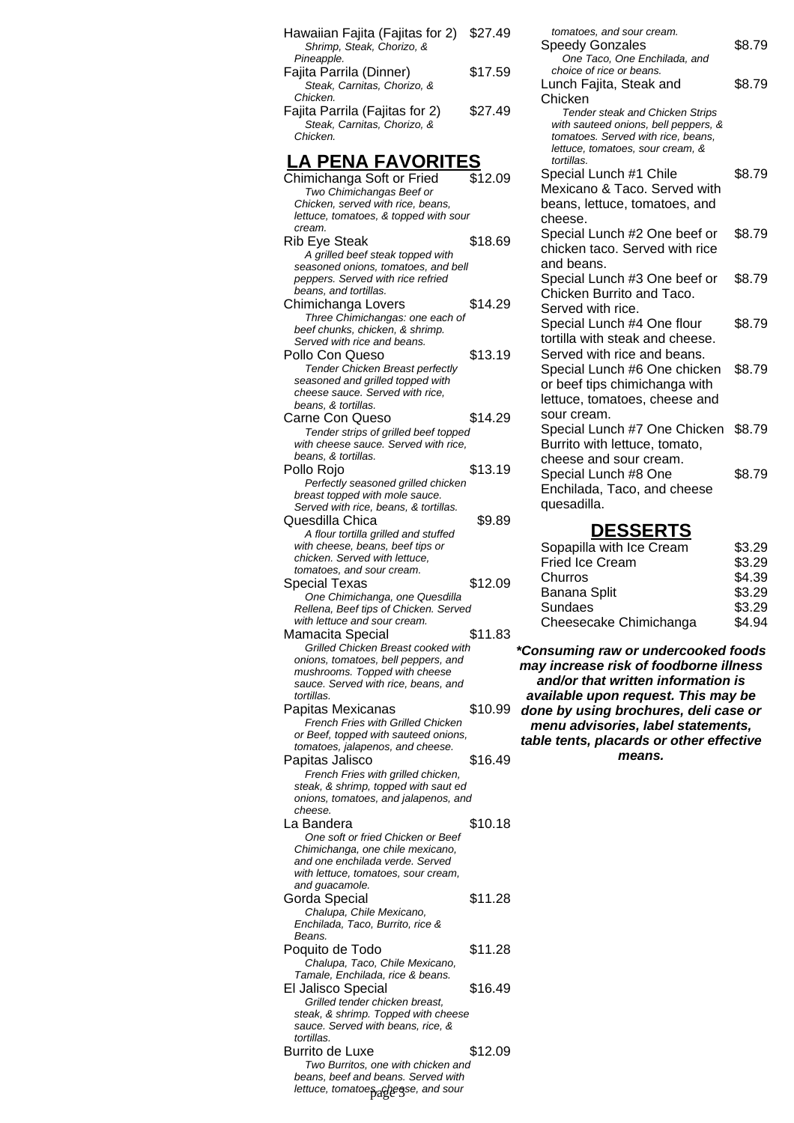| Hawaiian Fajita (Fajitas for 2)<br>Shrimp, Steak, Chorizo, &                                                                                                                        | \$27.49 |
|-------------------------------------------------------------------------------------------------------------------------------------------------------------------------------------|---------|
| Pineapple.<br>Fajita Parrila (Dinner)<br>Steak, Carnitas, Chorizo, &                                                                                                                | \$17.59 |
| Chicken.<br>Fajita Parrila (Fajitas for 2)<br>Steak, Carnitas, Chorizo, &<br>Chicken.                                                                                               | \$27.49 |
| LA PENA FAVORITES                                                                                                                                                                   |         |
| Chimichanga Soft or Fried<br>Two Chimichangas Beef or<br>Chicken, served with rice, beans,<br>lettuce, tomatoes, & topped with sour                                                 | \$12.09 |
| cream.<br>Rib Eye Steak<br>A grilled beef steak topped with                                                                                                                         | \$18.69 |
| seasoned onions, tomatoes, and bell<br>peppers. Served with rice refried<br>beans, and tortillas.                                                                                   |         |
| Chimichanga Lovers<br>Three Chimichangas: one each of<br>beef chunks, chicken, & shrimp.                                                                                            | \$14.29 |
| Served with rice and beans.<br>Pollo Con Queso<br><b>Tender Chicken Breast perfectly</b><br>seasoned and grilled topped with<br>cheese sauce. Served with rice,                     | \$13.19 |
| beans, & tortillas.<br>Carne Con Queso<br>Tender strips of grilled beef topped<br>with cheese sauce. Served with rice,<br>beans, & tortillas.                                       | \$14.29 |
| Pollo Rojo                                                                                                                                                                          | \$13.19 |
| Perfectly seasoned grilled chicken<br>breast topped with mole sauce.<br>Served with rice, beans, & tortillas.<br>Quesdilla Chica<br>A flour tortilla grilled and stuffed            | \$9.89  |
| with cheese, beans, beef tips or<br>chicken. Served with lettuce,<br>tomatoes, and sour cream.<br>Special Texas                                                                     | \$12.09 |
| One Chimichanga, one Quesdilla<br>Rellena, Beef tips of Chicken. Served<br>with lettuce and sour cream.                                                                             |         |
| Mamacita Special<br>Grilled Chicken Breast cooked with<br>onions, tomatoes, bell peppers, and<br>mushrooms. Topped with cheese<br>sauce. Served with rice, beans, and<br>tortillas. | \$11.83 |
| Papitas Mexicanas<br>French Fries with Grilled Chicken<br>or Beef, topped with sauteed onions,<br>tomatoes, jalapenos, and cheese.                                                  | \$10.99 |
| Papitas Jalisco<br>French Fries with grilled chicken,<br>steak, & shrimp, topped with saut ed<br>onions, tomatoes, and jalapenos, and<br>cheese.                                    | \$16.49 |
| La Bandera<br>One soft or fried Chicken or Beef<br>Chimichanga, one chile mexicano,<br>and one enchilada verde. Served<br>with lettuce, tomatoes, sour cream,<br>and guacamole.     | \$10.18 |
| Gorda Special<br>Chalupa, Chile Mexicano,<br>Enchilada, Taco, Burrito, rice &<br>Beans.                                                                                             | \$11.28 |
| Poquito de Todo<br>Chalupa, Taco, Chile Mexicano,<br>Tamale, Enchilada, rice & beans.                                                                                               | \$11.28 |
| El Jalisco Special                                                                                                                                                                  |         |
| Grilled tender chicken breast,<br>steak, & shrimp. Topped with cheese<br>sauce. Served with beans, rice, &<br>tortillas.                                                            | \$16.49 |

| tomatoes, and sour cream.<br><b>Speedy Gonzales</b>                            | \$8.79 |
|--------------------------------------------------------------------------------|--------|
| One Taco, One Enchilada, and<br>choice of rice or beans.                       |        |
| Lunch Fajita, Steak and                                                        | \$8.79 |
| Chicken                                                                        |        |
| <b>Tender steak and Chicken Strips</b><br>with sauteed onions, bell peppers, & |        |
| tomatoes. Served with rice, beans,                                             |        |
| lettuce, tomatoes, sour cream, &<br>tortillas.                                 |        |
| Special Lunch #1 Chile                                                         | \$8.79 |
| Mexicano & Taco. Served with                                                   |        |
| beans, lettuce, tomatoes, and                                                  |        |
| cheese.                                                                        |        |
| Special Lunch #2 One beef or                                                   | \$8.79 |
| chicken taco. Served with rice                                                 |        |
| and beans.                                                                     |        |
| Special Lunch #3 One beef or                                                   | \$8.79 |
| Chicken Burrito and Taco.                                                      |        |
| Served with rice.                                                              |        |
| Special Lunch #4 One flour                                                     | \$8.79 |
| tortilla with steak and cheese.                                                |        |
| Served with rice and beans.                                                    |        |
| Special Lunch #6 One chicken                                                   | \$8.79 |
| or beef tips chimichanga with                                                  |        |
| lettuce, tomatoes, cheese and<br>sour cream.                                   |        |
| Special Lunch #7 One Chicken                                                   | \$8.79 |
| Burrito with lettuce, tomato,                                                  |        |
| cheese and sour cream.                                                         |        |
| Special Lunch #8 One                                                           | \$8.79 |
| Enchilada, Taco, and cheese                                                    |        |
| quesadilla.                                                                    |        |

### **DESSERTS**

| Sopapilla with Ice Cream | \$3.29 |
|--------------------------|--------|
| <b>Fried Ice Cream</b>   | \$3.29 |
| Churros                  | \$4.39 |
| Banana Split             | \$3.29 |
| <b>Sundaes</b>           | \$3.29 |
| Cheesecake Chimichanga   | \$4.94 |
|                          |        |

**\*Consuming raw or undercooked foods may increase risk of foodborne illness and/or that written information is available upon request. This may be done by using brochures, deli case or menu advisories, label statements, table tents, placards or other effective means.**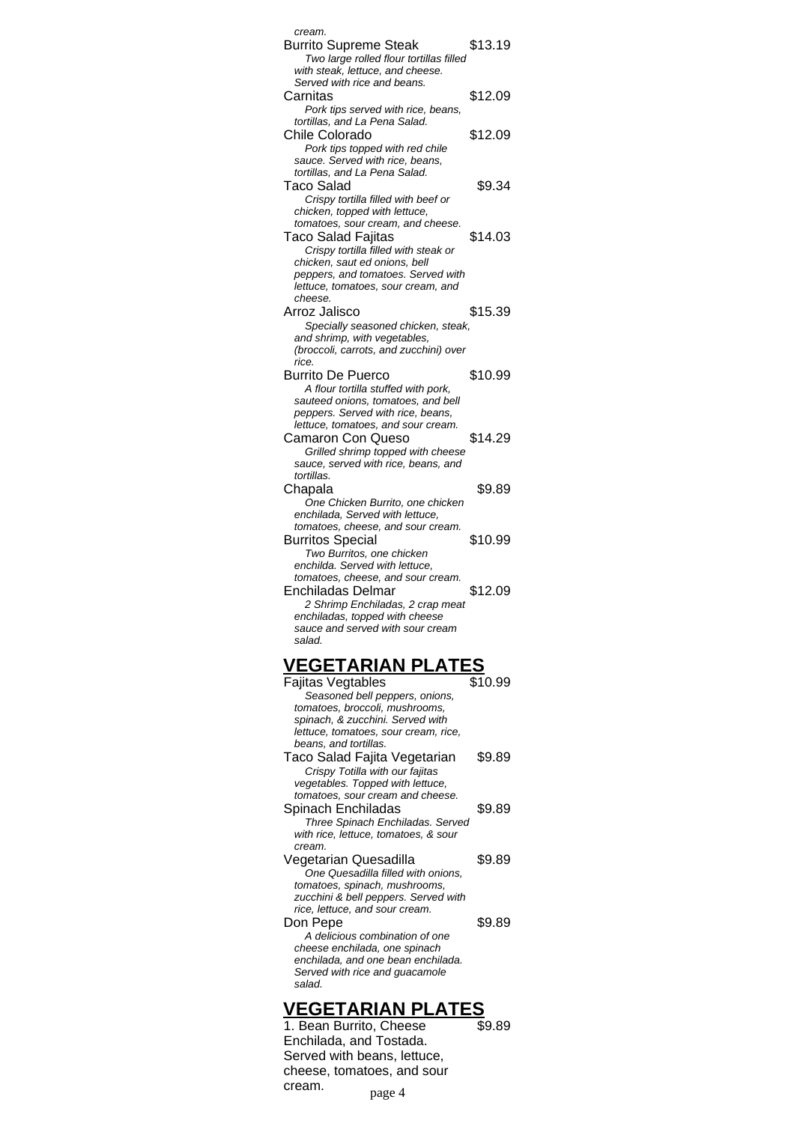| cream.                                          |         |
|-------------------------------------------------|---------|
| <b>Burrito Supreme Steak</b>                    | \$13.19 |
| Two large rolled flour tortillas filled         |         |
| with steak, lettuce, and cheese.                |         |
| Served with rice and beans.                     |         |
| Carnitas                                        | \$12.09 |
|                                                 |         |
| Pork tips served with rice, beans,              |         |
| tortillas, and La Pena Salad.                   |         |
| Chile Colorado                                  | \$12.09 |
| Pork tips topped with red chile                 |         |
| sauce. Served with rice, beans,                 |         |
| tortillas, and La Pena Salad.                   |         |
|                                                 |         |
| <b>Taco Salad</b>                               | \$9.34  |
| Crispy tortilla filled with beef or             |         |
| chicken, topped with lettuce,                   |         |
| tomatoes, sour cream, and cheese.               |         |
| Taco Salad Fajitas                              | \$14.03 |
| Crispy tortilla filled with steak or            |         |
| chicken, saut ed onions, bell                   |         |
|                                                 |         |
| peppers, and tomatoes. Served with              |         |
| lettuce, tomatoes, sour cream, and              |         |
| cheese.                                         |         |
| Arroz Jalisco                                   | \$15.39 |
| Specially seasoned chicken, steak,              |         |
| and shrimp, with vegetables,                    |         |
| (broccoli, carrots, and zucchini) over          |         |
| rice.                                           |         |
| <b>Burrito De Puerco</b>                        | \$10.99 |
|                                                 |         |
| A flour tortilla stuffed with pork,             |         |
| sauteed onions, tomatoes, and bell              |         |
| peppers. Served with rice, beans,               |         |
| lettuce, tomatoes, and sour cream.              |         |
| <b>Camaron Con Queso</b>                        | \$14.29 |
| Grilled shrimp topped with cheese               |         |
| sauce, served with rice, beans, and             |         |
|                                                 |         |
| tortillas.                                      |         |
| Chapala                                         | \$9.89  |
| One Chicken Burrito, one chicken                |         |
| enchilada, Served with lettuce,                 |         |
|                                                 |         |
|                                                 |         |
| tomatoes, cheese, and sour cream.               |         |
| <b>Burritos Special</b>                         | \$10.99 |
| Two Burritos, one chicken                       |         |
| enchilda. Served with lettuce,                  |         |
| tomatoes, cheese, and sour cream.               |         |
| Enchiladas Delmar                               | \$12.09 |
| 2 Shrimp Enchiladas, 2 crap meat                |         |
| enchiladas, topped with cheese                  |         |
| sauce and served with sour cream                |         |
| salad.                                          |         |
|                                                 |         |
|                                                 |         |
| <u>VEGETARIAN PLATES</u>                        |         |
| <b>Fajitas Vegtables</b>                        | \$10.99 |
| Seasoned bell peppers, onions,                  |         |
|                                                 |         |
| tomatoes, broccoli, mushrooms,                  |         |
| spinach, & zucchini. Served with                |         |
| lettuce, tomatoes, sour cream, rice,            |         |
| beans, and tortillas.                           |         |
| Taco Salad Fajita Vegetarian                    | \$9.89  |
| Crispy Totilla with our fajitas                 |         |
| vegetables. Topped with lettuce,                |         |
| tomatoes, sour cream and cheese.                |         |
|                                                 |         |
| Spinach Enchiladas                              | \$9.89  |
| Three Spinach Enchiladas. Served                |         |
| with rice, lettuce, tomatoes, & sour            |         |
| cream.                                          |         |
| Vegetarian Quesadilla                           | \$9.89  |
| One Quesadilla filled with onions,              |         |
| tomatoes, spinach, mushrooms,                   |         |
| zucchini & bell peppers. Served with            |         |
| rice, lettuce, and sour cream.                  |         |
|                                                 |         |
| Don Pepe                                        | \$9.89  |
| A delicious combination of one                  |         |
| cheese enchilada, one spinach                   |         |
| enchilada, and one bean enchilada.              |         |
| Served with rice and guacamole                  |         |
| salad.                                          |         |
|                                                 |         |
| <u>'EGETARIAN PLATE</u><br>Roan Burrito, Choose |         |

1. Bean Burrito, Cheese Enchilada, and Tostada. Served with beans, lettuce, cheese, tomatoes, and sour cream. \$9.89 page 4